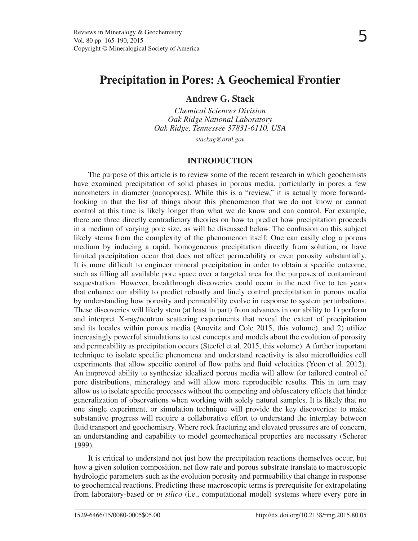# **Precipitation in Pores: A Geochemical Frontier**

# **Andrew G. Stack**

*Chemical Sciences Division Oak Ridge National Laboratory Oak Ridge, Tennessee 37831-6110, USA*

*stackag@ornl.gov*

# **INTRODUCTION**

The purpose of this article is to review some of the recent research in which geochemists have examined precipitation of solid phases in porous media, particularly in pores a few nanometers in diameter (nanopores). While this is a "review," it is actually more forwardlooking in that the list of things about this phenomenon that we do not know or cannot control at this time is likely longer than what we do know and can control. For example, there are three directly contradictory theories on how to predict how precipitation proceeds in a medium of varying pore size, as will be discussed below. The confusion on this subject likely stems from the complexity of the phenomenon itself: One can easily clog a porous medium by inducing a rapid, homogeneous precipitation directly from solution, or have limited precipitation occur that does not affect permeability or even porosity substantially. It is more difficult to engineer mineral precipitation in order to obtain a specific outcome, such as filling all available pore space over a targeted area for the purposes of contaminant sequestration. However, breakthrough discoveries could occur in the next five to ten years that enhance our ability to predict robustly and finely control precipitation in porous media by understanding how porosity and permeability evolve in response to system perturbations. These discoveries will likely stem (at least in part) from advances in our ability to 1) perform and interpret X-ray/neutron scattering experiments that reveal the extent of precipitation and its locales within porous media (Anovitz and Cole 2015, this volume), and 2) utilize increasingly powerful simulations to test concepts and models about the evolution of porosity and permeability as precipitation occurs (Steefel et al. 2015, this volume). A further important technique to isolate specific phenomena and understand reactivity is also microfluidics cell experiments that allow specific control of flow paths and fluid velocities (Yoon et al. 2012). An improved ability to synthesize idealized porous media will allow for tailored control of pore distributions, mineralogy and will allow more reproducible results. This in turn may allow us to isolate specific processes without the competing and obfuscatory effects that hinder generalization of observations when working with solely natural samples. It is likely that no one single experiment, or simulation technique will provide the key discoveries: to make substantive progress will require a collaborative effort to understand the interplay between fluid transport and geochemistry. Where rock fracturing and elevated pressures are of concern, an understanding and capability to model geomechanical properties are necessary (Scherer 1999).

It is critical to understand not just how the precipitation reactions themselves occur, but how a given solution composition, net flow rate and porous substrate translate to macroscopic hydrologic parameters such as the evolution porosity and permeability that change in response to geochemical reactions. Predicting these macroscopic terms is prerequisite for extrapolating from laboratory-based or *in silico* (i.e., computational model) systems where every pore in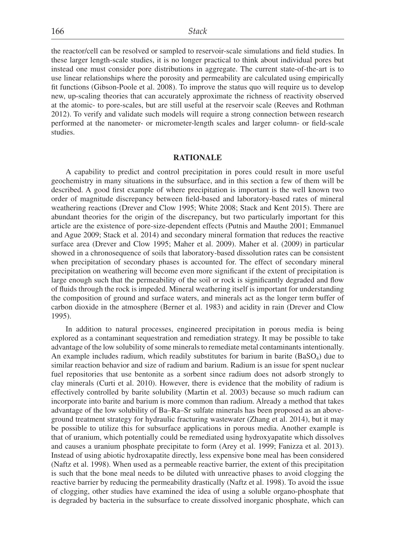the reactor/cell can be resolved or sampled to reservoir-scale simulations and field studies. In these larger length-scale studies, it is no longer practical to think about individual pores but instead one must consider pore distributions in aggregate. The current state-of-the-art is to use linear relationships where the porosity and permeability are calculated using empirically fit functions (Gibson-Poole et al. 2008). To improve the status quo will require us to develop new, up-scaling theories that can accurately approximate the richness of reactivity observed at the atomic- to pore-scales, but are still useful at the reservoir scale (Reeves and Rothman 2012). To verify and validate such models will require a strong connection between research performed at the nanometer- or micrometer-length scales and larger column- or field-scale studies.

# **RATIONALE**

A capability to predict and control precipitation in pores could result in more useful geochemistry in many situations in the subsurface, and in this section a few of them will be described. A good first example of where precipitation is important is the well known two order of magnitude discrepancy between field-based and laboratory-based rates of mineral weathering reactions (Drever and Clow 1995; White 2008; Stack and Kent 2015). There are abundant theories for the origin of the discrepancy, but two particularly important for this article are the existence of pore-size-dependent effects (Putnis and Mauthe 2001; Emmanuel and Ague 2009; Stack et al. 2014) and secondary mineral formation that reduces the reactive surface area (Drever and Clow 1995; Maher et al. 2009). Maher et al. (2009) in particular showed in a chronosequence of soils that laboratory-based dissolution rates can be consistent when precipitation of secondary phases is accounted for. The effect of secondary mineral precipitation on weathering will become even more significant if the extent of precipitation is large enough such that the permeability of the soil or rock is significantly degraded and flow of fluids through the rock is impeded. Mineral weathering itself is important for understanding the composition of ground and surface waters, and minerals act as the longer term buffer of carbon dioxide in the atmosphere (Berner et al. 1983) and acidity in rain (Drever and Clow 1995).

In addition to natural processes, engineered precipitation in porous media is being explored as a contaminant sequestration and remediation strategy. It may be possible to take advantage of the low solubility of some minerals to remediate metal contaminants intentionally. An example includes radium, which readily substitutes for barium in barite  $(BaSO<sub>4</sub>)$  due to similar reaction behavior and size of radium and barium. Radium is an issue for spent nuclear fuel repositories that use bentonite as a sorbent since radium does not adsorb strongly to clay minerals (Curti et al. 2010). However, there is evidence that the mobility of radium is effectively controlled by barite solubility (Martin et al. 2003) because so much radium can incorporate into barite and barium is more common than radium. Already a method that takes advantage of the low solubility of Ba–Ra–Sr sulfate minerals has been proposed as an aboveground treatment strategy for hydraulic fracturing wastewater (Zhang et al. 2014), but it may be possible to utilize this for subsurface applications in porous media. Another example is that of uranium, which potentially could be remediated using hydroxyapatite which dissolves and causes a uranium phosphate precipitate to form (Arey et al. 1999; Fanizza et al. 2013). Instead of using abiotic hydroxapatite directly, less expensive bone meal has been considered (Naftz et al. 1998). When used as a permeable reactive barrier, the extent of this precipitation is such that the bone meal needs to be diluted with unreactive phases to avoid clogging the reactive barrier by reducing the permeability drastically (Naftz et al. 1998). To avoid the issue of clogging, other studies have examined the idea of using a soluble organo-phosphate that is degraded by bacteria in the subsurface to create dissolved inorganic phosphate, which can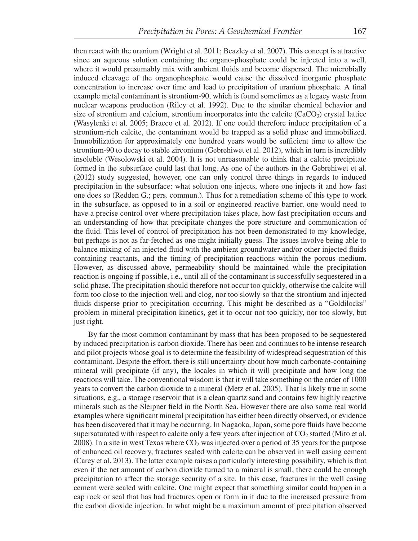then react with the uranium (Wright et al. 2011; Beazley et al. 2007). This concept is attractive since an aqueous solution containing the organo-phosphate could be injected into a well, where it would presumably mix with ambient fluids and become dispersed. The microbially induced cleavage of the organophosphate would cause the dissolved inorganic phosphate concentration to increase over time and lead to precipitation of uranium phosphate. A final example metal contaminant is strontium-90, which is found sometimes as a legacy waste from nuclear weapons production (Riley et al. 1992). Due to the similar chemical behavior and size of strontium and calcium, strontium incorporates into the calcite  $(CaCO<sub>3</sub>)$  crystal lattice (Wasylenki et al. 2005; Bracco et al. 2012). If one could therefore induce precipitation of a strontium-rich calcite, the contaminant would be trapped as a solid phase and immobilized. Immobilization for approximately one hundred years would be sufficient time to allow the strontium-90 to decay to stable zirconium (Gebrehiwet et al. 2012), which in turn is incredibly insoluble (Wesolowski et al. 2004). It is not unreasonable to think that a calcite precipitate formed in the subsurface could last that long. As one of the authors in the Gebrehiwet et al. (2012) study suggested, however, one can only control three things in regards to induced precipitation in the subsurface: what solution one injects, where one injects it and how fast one does so (Redden G.; pers. commun.). Thus for a remediation scheme of this type to work in the subsurface, as opposed to in a soil or engineered reactive barrier, one would need to have a precise control over where precipitation takes place, how fast precipitation occurs and an understanding of how that precipitate changes the pore structure and communication of the fluid. This level of control of precipitation has not been demonstrated to my knowledge, but perhaps is not as far-fetched as one might initially guess. The issues involve being able to balance mixing of an injected fluid with the ambient groundwater and/or other injected fluids containing reactants, and the timing of precipitation reactions within the porous medium. However, as discussed above, permeability should be maintained while the precipitation reaction is ongoing if possible, i.e., until all of the contaminant is successfully sequestered in a solid phase. The precipitation should therefore not occur too quickly, otherwise the calcite will form too close to the injection well and clog, nor too slowly so that the strontium and injected fluids disperse prior to precipitation occurring. This might be described as a "Goldilocks" problem in mineral precipitation kinetics, get it to occur not too quickly, nor too slowly, but just right.

By far the most common contaminant by mass that has been proposed to be sequestered by induced precipitation is carbon dioxide. There has been and continues to be intense research and pilot projects whose goal is to determine the feasibility of widespread sequestration of this contaminant. Despite the effort, there is still uncertainty about how much carbonate-containing mineral will precipitate (if any), the locales in which it will precipitate and how long the reactions will take. The conventional wisdom is that it will take something on the order of 1000 years to convert the carbon dioxide to a mineral (Metz et al. 2005). That is likely true in some situations, e.g., a storage reservoir that is a clean quartz sand and contains few highly reactive minerals such as the Sleipner field in the North Sea. However there are also some real world examples where significant mineral precipitation has either been directly observed, or evidence has been discovered that it may be occurring. In Nagaoka, Japan, some pore fluids have become supersaturated with respect to calcite only a few years after injection of  $CO<sub>2</sub>$  started (Mito et al. 2008). In a site in west Texas where  $CO<sub>2</sub>$  was injected over a period of 35 years for the purpose of enhanced oil recovery, fractures sealed with calcite can be observed in well casing cement (Carey et al. 2013). The latter example raises a particularly interesting possibility, which is that even if the net amount of carbon dioxide turned to a mineral is small, there could be enough precipitation to affect the storage security of a site. In this case, fractures in the well casing cement were sealed with calcite. One might expect that something similar could happen in a cap rock or seal that has had fractures open or form in it due to the increased pressure from the carbon dioxide injection. In what might be a maximum amount of precipitation observed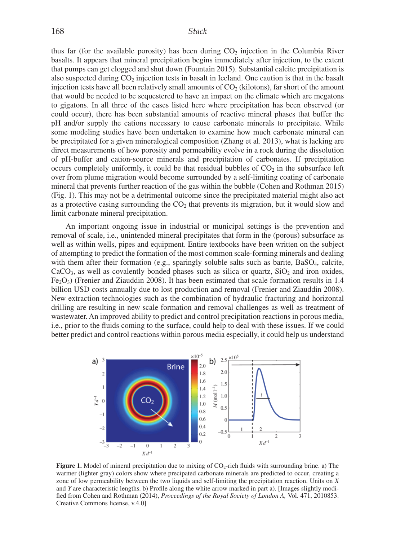thus far (for the available porosity) has been during  $CO<sub>2</sub>$  injection in the Columbia River basalts. It appears that mineral precipitation begins immediately after injection, to the extent that pumps can get clogged and shut down (Fountain 2015). Substantial calcite precipitation is also suspected during  $CO<sub>2</sub>$  injection tests in basalt in Iceland. One caution is that in the basalt injection tests have all been relatively small amounts of  $CO<sub>2</sub>$  (kilotons), far short of the amount that would be needed to be sequestered to have an impact on the climate which are megatons to gigatons. In all three of the cases listed here where precipitation has been observed (or could occur), there has been substantial amounts of reactive mineral phases that buffer the pH and/or supply the cations necessary to cause carbonate minerals to precipitate. While some modeling studies have been undertaken to examine how much carbonate mineral can be precipitated for a given mineralogical composition (Zhang et al. 2013), what is lacking are direct measurements of how porosity and permeability evolve in a rock during the dissolution of pH-buffer and cation-source minerals and precipitation of carbonates. If precipitation occurs completely uniformly, it could be that residual bubbles of  $CO<sub>2</sub>$  in the subsurface left over from plume migration would become surrounded by a self-limiting coating of carbonate mineral that prevents further reaction of the gas within the bubble (Cohen and Rothman 2015) (Fig. 1). This may not be a detrimental outcome since the precipitated material might also act as a protective casing surrounding the  $CO<sub>2</sub>$  that prevents its migration, but it would slow and limit carbonate mineral precipitation.

An important ongoing issue in industrial or municipal settings is the prevention and removal of scale, i.e., unintended mineral precipitates that form in the (porous) subsurface as well as within wells, pipes and equipment. Entire textbooks have been written on the subject of attempting to predict the formation of the most common scale-forming minerals and dealing with them after their formation (e.g., sparingly soluble salts such as barite, BaSO<sub>4</sub>, calcite,  $CaCO<sub>3</sub>$ , as well as covalently bonded phases such as silica or quartz,  $SiO<sub>2</sub>$  and iron oxides,  $Fe<sub>2</sub>O<sub>3</sub>$  (Frenier and Ziauddin 2008). It has been estimated that scale formation results in 1.4 billion USD costs annually due to lost production and removal (Frenier and Ziauddin 2008). New extraction technologies such as the combination of hydraulic fracturing and horizontal drilling are resulting in new scale formation and removal challenges as well as treatment of wastewater. An improved ability to predict and control precipitation reactions in porous media, i.e., prior to the fluids coming to the surface, could help to deal with these issues. If we could better predict and control reactions within porous media especially, it could help us understand



**Figure 1.** Model of mineral precipitation due to mixing of CO<sub>2</sub>-rich fluids with surrounding brine. a) The warmer (lighter gray) colors show where precipated carbonate minerals are predicted to occur, creating a zone of low permeability between the two liquids and self-limiting the precipitation reaction. Units on *X* and *Y* are characteristic lengths. b) Profile along the white arrow marked in part a). [Images slightly modified from Cohen and Rothman (2014), *Proceedings of the Royal Society of London A*, Vol. 471, 2010853. Creative Commons license, v.4.0]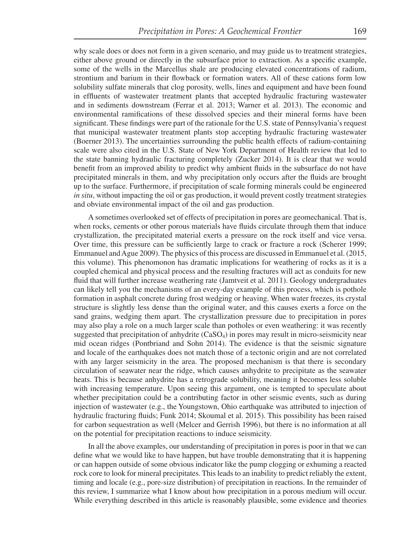why scale does or does not form in a given scenario, and may guide us to treatment strategies, either above ground or directly in the subsurface prior to extraction. As a specific example, some of the wells in the Marcellus shale are producing elevated concentrations of radium, strontium and barium in their flowback or formation waters. All of these cations form low solubility sulfate minerals that clog porosity, wells, lines and equipment and have been found in effluents of wastewater treatment plants that accepted hydraulic fracturing wastewater and in sediments downstream (Ferrar et al. 2013; Warner et al. 2013). The economic and environmental ramifications of these dissolved species and their mineral forms have been significant. These findings were part of the rationale for the U.S. state of Pennsylvania's request that municipal wastewater treatment plants stop accepting hydraulic fracturing wastewater (Boerner 2013). The uncertainties surrounding the public health effects of radium-containing scale were also cited in the U.S. State of New York Department of Health review that led to the state banning hydraulic fracturing completely (Zucker 2014). It is clear that we would benefit from an improved ability to predict why ambient fluids in the subsurface do not have precipitated minerals in them, and why precipitation only occurs after the fluids are brought up to the surface. Furthermore, if precipitation of scale forming minerals could be engineered *in situ*, without impacting the oil or gas production, it would prevent costly treatment strategies and obviate environmental impact of the oil and gas production.

A sometimes overlooked set of effects of precipitation in pores are geomechanical. That is, when rocks, cements or other porous materials have fluids circulate through them that induce crystallization, the precipitated material exerts a pressure on the rock itself and vice versa. Over time, this pressure can be sufficiently large to crack or fracture a rock (Scherer 1999; Emmanuel and Ague 2009). The physics of this process are discussed in Emmanuel et al. (2015, this volume). This phenomonon has dramatic implications for weathering of rocks as it is a coupled chemical and physical process and the resulting fractures will act as conduits for new fluid that will further increase weathering rate (Jamtveit et al. 2011). Geology undergraduates can likely tell you the mechanisms of an every-day example of this process, which is pothole formation in asphalt concrete during frost wedging or heaving. When water freezes, its crystal structure is slightly less dense than the original water, and this causes exerts a force on the sand grains, wedging them apart. The crystallization pressure due to precipitation in pores may also play a role on a much larger scale than potholes or even weathering: it was recently suggested that precipitation of anhydrite  $(CaSO<sub>4</sub>)$  in pores may result in micro-seismicity near mid ocean ridges (Pontbriand and Sohn 2014). The evidence is that the seismic signature and locale of the earthquakes does not match those of a tectonic origin and are not correlated with any larger seismicity in the area. The proposed mechanism is that there is secondary circulation of seawater near the ridge, which causes anhydrite to precipitate as the seawater heats. This is because anhydrite has a retrograde solubility, meaning it becomes less soluble with increasing temperature. Upon seeing this argument, one is tempted to speculate about whether precipitation could be a contributing factor in other seismic events, such as during injection of wastewater (e.g., the Youngstown, Ohio earthquake was attributed to injection of hydraulic fracturing fluids; Funk 2014; Skoumal et al. 2015). This possibility has been raised for carbon sequestration as well (Melcer and Gerrish 1996), but there is no information at all on the potential for precipitation reactions to induce seismicity.

In all the above examples, our understanding of precipitation in pores is poor in that we can define what we would like to have happen, but have trouble demonstrating that it is happening or can happen outside of some obvious indicator like the pump clogging or exhuming a reacted rock core to look for mineral precipitates. This leads to an inability to predict reliably the extent, timing and locale (e.g., pore-size distribution) of precipitation in reactions. In the remainder of this review, I summarize what I know about how precipitation in a porous medium will occur. While everything described in this article is reasonably plausible, some evidence and theories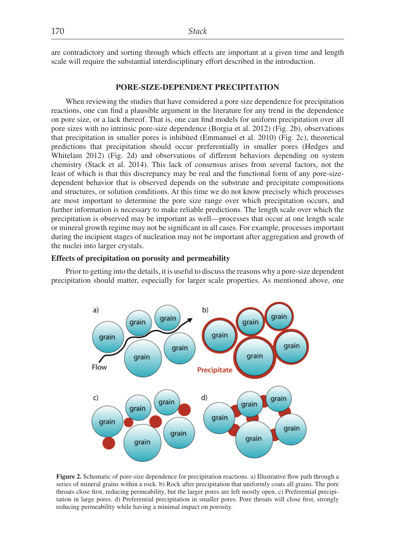are contradictory and sorting through which effects are important at a given time and length scale will require the substantial interdisciplinary effort described in the introduction.

#### **PORE-SIZE-DEPENDENT PRECIPITATION**

When reviewing the studies that have considered a pore size dependence for precipitation reactions, one can find a plausible argument in the literature for any trend in the dependence on pore size, or a lack thereof. That is, one can find models for uniform precipitation over all pore sizes with no intrinsic pore-size dependence (Borgia et al. 2012) (Fig. 2b), observations that precipitation in smaller pores is inhibited (Emmanuel et al. 2010) (Fig. 2c), theoretical predictions that precipitation should occur preferentially in smaller pores (Hedges and Whitelam 2012) (Fig. 2d) and observations of different behaviors depending on system chemistry (Stack et al. 2014). This lack of consensus arises from several factors, not the least of which is that this discrepancy may be real and the functional form of any pore-sizedependent behavior that is observed depends on the substrate and precipitate compositions and structures, or solution conditions. At this time we do not know precisely which processes are most important to determine the pore size range over which precipitation occurs, and further information is necessary to make reliable predictions. The length scale over which the precipitation is observed may be important as well—processes that occur at one length scale or mineral growth regime may not be significant in all cases. For example, processes important during the incipient stages of nucleation may not be important after aggregation and growth of the nuclei into larger crystals.

## **Effects of precipitation on porosity and permeability**

Prior to getting into the details, it is useful to discuss the reasons why a pore-size dependent precipitation should matter, especially for larger scale properties. As mentioned above, one



**Figure 2.** Schematic of pore-size dependence for precipitation reactions. a) Illustrative flow path through a series of mineral grains within a rock. b) Rock after precipitation that uniformly coats all grains. The pore throats close first, reducing permeability, but the larger pores are left mostly open. c) Preferential precipitation in large pores. d) Preferential precipitation in smaller pores. Pore throats will close first, strongly reducing permeability while having a minimal impact on porosity.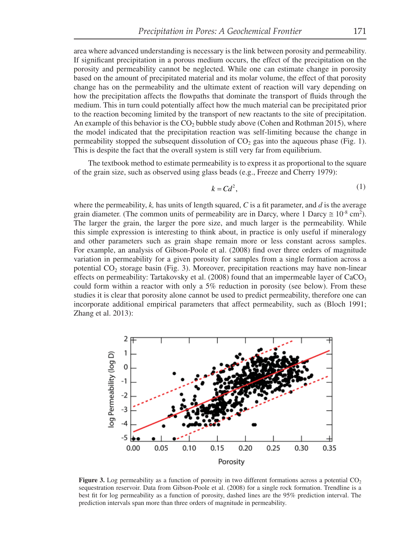area where advanced understanding is necessary is the link between porosity and permeability. If significant precipitation in a porous medium occurs, the effect of the precipitation on the porosity and permeability cannot be neglected. While one can estimate change in porosity based on the amount of precipitated material and its molar volume, the effect of that porosity change has on the permeability and the ultimate extent of reaction will vary depending on how the precipitation affects the flowpaths that dominate the transport of fluids through the medium. This in turn could potentially affect how the much material can be precipitated prior to the reaction becoming limited by the transport of new reactants to the site of precipitation. An example of this behavior is the  $CO<sub>2</sub>$  bubble study above (Cohen and Rothman 2015), where the model indicated that the precipitation reaction was self-limiting because the change in permeability stopped the subsequent dissolution of  $CO<sub>2</sub>$  gas into the aqueous phase (Fig. 1). This is despite the fact that the overall system is still very far from equilibrium.

The textbook method to estimate permeability is to express it as proportional to the square of the grain size, such as observed using glass beads (e.g., Freeze and Cherry 1979):

$$
k = C d^2,\tag{1}
$$

where the permeability,  $k$ , has units of length squared,  $C$  is a fit parameter, and  $d$  is the average grain diameter. (The common units of permeability are in Darcy, where 1 Darcy  $\approx 10^{-8}$  cm<sup>2</sup>). The larger the grain, the larger the pore size, and much larger is the permeability. While this simple expression is interesting to think about, in practice is only useful if mineralogy and other parameters such as grain shape remain more or less constant across samples. For example, an analysis of Gibson-Poole et al. (2008) find over three orders of magnitude variation in permeability for a given porosity for samples from a single formation across a potential  $CO<sub>2</sub>$  storage basin (Fig. 3). Moreover, precipitation reactions may have non-linear effects on permeability: Tartakovsky et al. (2008) found that an impermeable layer of  $CaCO<sub>3</sub>$ could form within a reactor with only a  $5\%$  reduction in porosity (see below). From these studies it is clear that porosity alone cannot be used to predict permeability, therefore one can incorporate additional empirical parameters that affect permeability, such as (Bloch 1991; Zhang et al. 2013):



**Figure 3.** Log permeability as a function of porosity in two different formations across a potential CO<sub>2</sub> sequestration reservoir. Data from Gibson-Poole et al. (2008) for a single rock formation. Trendline is a best fit for log permeability as a function of porosity, dashed lines are the 95% prediction interval. The prediction intervals span more than three orders of magnitude in permeability.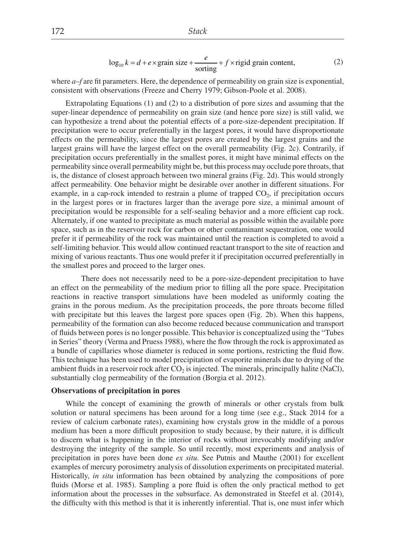$$
\log_{10} k = d + e \times \text{grain size} + \frac{e}{\text{sorting}} + f \times \text{rigid grain content},\tag{2}
$$

where  $a$ – $f$  are fit parameters. Here, the dependence of permeability on grain size is exponential, consistent with observations (Freeze and Cherry 1979; Gibson-Poole et al. 2008).

Extrapolating Equations (1) and (2) to a distribution of pore sizes and assuming that the super-linear dependence of permeability on grain size (and hence pore size) is still valid, we can hypothesize a trend about the potential effects of a pore-size-dependent precipitation. If precipitation were to occur preferentially in the largest pores, it would have disproportionate effects on the permeability, since the largest pores are created by the largest grains and the largest grains will have the largest effect on the overall permeability (Fig. 2c). Contrarily, if precipitation occurs preferentially in the smallest pores, it might have minimal effects on the permeability since overall permeability might be, but this process may occlude pore throats, that is, the distance of closest approach between two mineral grains (Fig. 2d). This would strongly affect permeability. One behavior might be desirable over another in different situations. For example, in a cap-rock intended to restrain a plume of trapped  $CO<sub>2</sub>$ , if precipitation occurs in the largest pores or in fractures larger than the average pore size, a minimal amount of precipitation would be responsible for a self-sealing behavior and a more efficient cap rock. Alternately, if one wanted to precipitate as much material as possible within the available pore space, such as in the reservoir rock for carbon or other contaminant sequestration, one would prefer it if permeability of the rock was maintained until the reaction is completed to avoid a self-limiting behavior. This would allow continued reactant transport to the site of reaction and mixing of various reactants. Thus one would prefer it if precipitation occurred preferentially in the smallest pores and proceed to the larger ones.

 There does not necessarily need to be a pore-size-dependent precipitation to have an effect on the permeability of the medium prior to filling all the pore space. Precipitation reactions in reactive transport simulations have been modeled as uniformly coating the grains in the porous medium. As the precipitation proceeds, the pore throats become filled with precipitate but this leaves the largest pore spaces open (Fig. 2b). When this happens, permeability of the formation can also become reduced because communication and transport of fl uids between pores is no longer possible. This behavior is conceptualized using the "Tubes in Series" theory (Verma and Pruess 1988), where the flow through the rock is approximated as a bundle of capillaries whose diameter is reduced in some portions, restricting the fluid flow. This technique has been used to model precipitation of evaporite minerals due to drying of the ambient fluids in a reservoir rock after  $CO<sub>2</sub>$  is injected. The minerals, principally halite (NaCl), substantially clog permeability of the formation (Borgia et al. 2012).

#### **Observations of precipitation in pores**

While the concept of examining the growth of minerals or other crystals from bulk solution or natural specimens has been around for a long time (see e.g., Stack 2014 for a review of calcium carbonate rates), examining how crystals grow in the middle of a porous medium has been a more difficult proposition to study because, by their nature, it is difficult to discern what is happening in the interior of rocks without irrevocably modifying and/or destroying the integrity of the sample. So until recently, most experiments and analysis of precipitation in pores have been done *ex situ*. See Putnis and Mauthe (2001) for excellent examples of mercury porosimetry analysis of dissolution experiments on precipitated material. Historically, *in situ* information has been obtained by analyzing the compositions of pore fluids (Morse et al. 1985). Sampling a pore fluid is often the only practical method to get information about the processes in the subsurface. As demonstrated in Steefel et al. (2014), the difficulty with this method is that it is inherently inferential. That is, one must infer which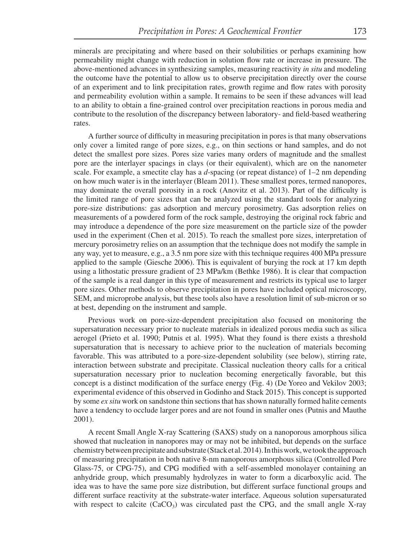minerals are precipitating and where based on their solubilities or perhaps examining how permeability might change with reduction in solution flow rate or increase in pressure. The above-mentioned advances in synthesizing samples, measuring reactivity *in situ* and modeling the outcome have the potential to allow us to observe precipitation directly over the course of an experiment and to link precipitation rates, growth regime and flow rates with porosity and permeability evolution within a sample. It remains to be seen if these advances will lead to an ability to obtain a fine-grained control over precipitation reactions in porous media and contribute to the resolution of the discrepancy between laboratory- and field-based weathering rates.

A further source of difficulty in measuring precipitation in pores is that many observations only cover a limited range of pore sizes, e.g., on thin sections or hand samples, and do not detect the smallest pore sizes. Pores size varies many orders of magnitude and the smallest pore are the interlayer spacings in clays (or their equivalent), which are on the nanometer scale. For example, a smectite clay has a *d*-spacing (or repeat distance) of 1–2 nm depending on how much water is in the interlayer (Bleam 2011). These smallest pores, termed nanopores, may dominate the overall porosity in a rock (Anovitz et al. 2013). Part of the difficulty is the limited range of pore sizes that can be analyzed using the standard tools for analyzing pore-size distributions: gas adsorption and mercury porosimetry. Gas adsorption relies on measurements of a powdered form of the rock sample, destroying the original rock fabric and may introduce a dependence of the pore size measurement on the particle size of the powder used in the experiment (Chen et al. 2015). To reach the smallest pore sizes, interpretation of mercury porosimetry relies on an assumption that the technique does not modify the sample in any way, yet to measure, e.g., a 3.5 nm pore size with this technique requires 400 MPa pressure applied to the sample (Giesche 2006). This is equivalent of burying the rock at 17 km depth using a lithostatic pressure gradient of 23 MPa/km (Bethke 1986). It is clear that compaction of the sample is a real danger in this type of measurement and restricts its typical use to larger pore sizes. Other methods to observe precipitation in pores have included optical microscopy, SEM, and microprobe analysis, but these tools also have a resolution limit of sub-micron or so at best, depending on the instrument and sample.

Previous work on pore-size-dependent precipitation also focused on monitoring the supersaturation necessary prior to nucleate materials in idealized porous media such as silica aerogel (Prieto et al. 1990; Putnis et al. 1995). What they found is there exists a threshold supersaturation that is necessary to achieve prior to the nucleation of materials becoming favorable. This was attributed to a pore-size-dependent solubility (see below), stirring rate, interaction between substrate and precipitate. Classical nucleation theory calls for a critical supersaturation necessary prior to nucleation becoming energetically favorable, but this concept is a distinct modification of the surface energy (Fig. 4) (De Yoreo and Vekilov 2003; experimental evidence of this observed in Godinho and Stack 2015). This concept is supported by some *ex situ* work on sandstone thin sections that has shown naturally formed halite cements have a tendency to occlude larger pores and are not found in smaller ones (Putnis and Mauthe 2001).

A recent Small Angle X-ray Scattering (SAXS) study on a nanoporous amorphous silica showed that nucleation in nanopores may or may not be inhibited, but depends on the surface chemistry between precipitate and substrate (Stack et al. 2014). In this work, we took the approach of measuring precipitation in both native 8-nm nanoporous amorphous silica (Controlled Pore Glass-75, or CPG-75), and CPG modified with a self-assembled monolayer containing an anhydride group, which presumably hydrolyzes in water to form a dicarboxylic acid. The idea was to have the same pore size distribution, but different surface functional groups and different surface reactivity at the substrate-water interface. Aqueous solution supersaturated with respect to calcite  $(CaCO_3)$  was circulated past the CPG, and the small angle X-ray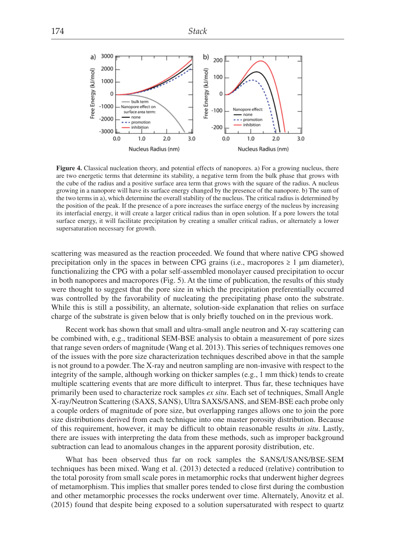

Figure 4. Classical nucleation theory, and potential effects of nanopores. a) For a growing nucleus, there are two energetic terms that determine its stability, a negative term from the bulk phase that grows with the cube of the radius and a positive surface area term that grows with the square of the radius. A nucleus growing in a nanopore will have its surface energy changed by the presence of the nanopore. b) The sum of the two terms in a), which determine the overall stability of the nucleus. The critical radius is determined by the position of the peak. If the presence of a pore increases the surface energy of the nucleus by increasing its interfacial energy, it will create a larger critical radius than in open solution. If a pore lowers the total surface energy, it will facilitate precipitation by creating a smaller critical radius, or alternately a lower supersaturation necessary for growth.

scattering was measured as the reaction proceeded. We found that where native CPG showed precipitation only in the spaces in between CPG grains (i.e., macropores  $\geq 1$  µm diameter), functionalizing the CPG with a polar self-assembled monolayer caused precipitation to occur in both nanopores and macropores (Fig. 5). At the time of publication, the results of this study were thought to suggest that the pore size in which the precipitation preferentially occurred was controlled by the favorability of nucleating the precipitating phase onto the substrate. While this is still a possibility, an alternate, solution-side explanation that relies on surface charge of the substrate is given below that is only briefly touched on in the previous work.

Recent work has shown that small and ultra-small angle neutron and X-ray scattering can be combined with, e.g., traditional SEM-BSE analysis to obtain a measurement of pore sizes that range seven orders of magnitude (Wang et al. 2013). This series of techniques removes one of the issues with the pore size characterization techniques described above in that the sample is not ground to a powder. The X-ray and neutron sampling are non-invasive with respect to the integrity of the sample, although working on thicker samples (e.g., 1 mm thick) tends to create multiple scattering events that are more difficult to interpret. Thus far, these techniques have primarily been used to characterize rock samples *ex situ*. Each set of techniques, Small Angle X-ray/Neutron Scattering (SAXS, SANS), Ultra SAXS/SANS, and SEM-BSE each probe only a couple orders of magnitude of pore size, but overlapping ranges allows one to join the pore size distributions derived from each technique into one master porosity distribution. Because of this requirement, however, it may be difficult to obtain reasonable results *in situ*. Lastly, there are issues with interpreting the data from these methods, such as improper background subtraction can lead to anomalous changes in the apparent porosity distribution, etc.

What has been observed thus far on rock samples the SANS/USANS/BSE-SEM techniques has been mixed. Wang et al. (2013) detected a reduced (relative) contribution to the total porosity from small scale pores in metamorphic rocks that underwent higher degrees of metamorphism. This implies that smaller pores tended to close first during the combustion and other metamorphic processes the rocks underwent over time. Alternately, Anovitz et al. (2015) found that despite being exposed to a solution supersaturated with respect to quartz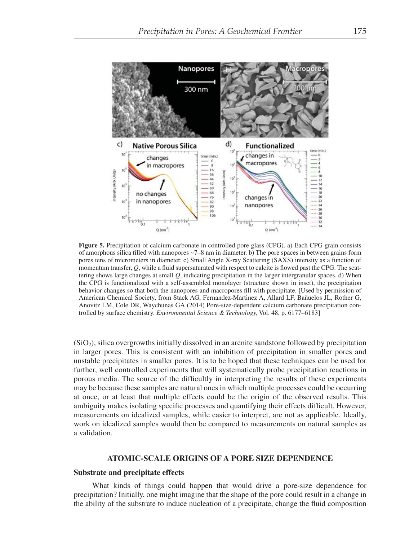

**Figure 5.** Precipitation of calcium carbonate in controlled pore glass (CPG). a) Each CPG grain consists of amorphous silica filled with nanopores  $-7-8$  nm in diameter. b) The pore spaces in between grains form pores tens of micrometers in diameter. c) Small Angle X-ray Scattering (SAXS) intensity as a function of momentum transfer, Q, while a fluid supersaturated with respect to calcite is flowed past the CPG. The scattering shows large changes at small *Q*, indicating precipitation in the larger intergranular spaces. d) When the CPG is functionalized with a self-assembled monolayer (structure shown in inset), the precipitation behavior changes so that both the nanopores and macropores fill with precipitate. [Used by permission of American Chemical Society, from Stack AG, Fernandez-Martinez A, Allard LF, Bañuelos JL, Rother G, Anovitz LM, Cole DR, Waychunas GA (2014) Pore-size-dependent calcium carbonate precipitation controlled by surface chemistry. *Environmental Science & Technology,* Vol. 48, p. 6177–6183]

 $(SiO<sub>2</sub>)$ , silica overgrowths initially dissolved in an arenite sandstone followed by precipitation in larger pores. This is consistent with an inhibition of precipitation in smaller pores and unstable precipitates in smaller pores. It is to be hoped that these techniques can be used for further, well controlled experiments that will systematically probe precipitation reactions in porous media. The source of the difficultly in interpreting the results of these experiments may be because these samples are natural ones in which multiple processes could be occurring at once, or at least that multiple effects could be the origin of the observed results. This ambiguity makes isolating specific processes and quantifying their effects difficult. However, measurements on idealized samples, while easier to interpret, are not as applicable. Ideally, work on idealized samples would then be compared to measurements on natural samples as a validation.

## **ATOMIC-SCALE ORIGINS OF A PORE SIZE DEPENDENCE**

#### **Substrate and precipitate effects**

What kinds of things could happen that would drive a pore-size dependence for precipitation? Initially, one might imagine that the shape of the pore could result in a change in the ability of the substrate to induce nucleation of a precipitate, change the fluid composition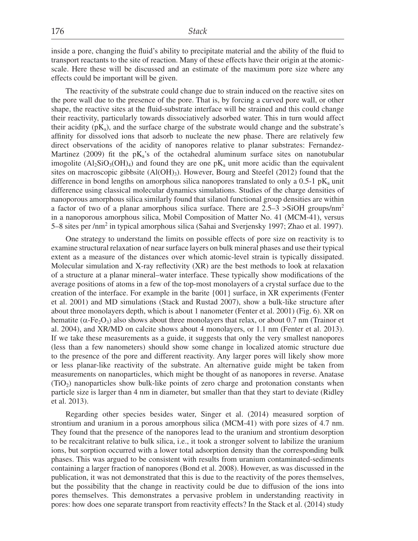inside a pore, changing the fluid's ability to precipitate material and the ability of the fluid to transport reactants to the site of reaction. Many of these effects have their origin at the atomicscale. Here these will be discussed and an estimate of the maximum pore size where any effects could be important will be given.

The reactivity of the substrate could change due to strain induced on the reactive sites on the pore wall due to the presence of the pore. That is, by forcing a curved pore wall, or other shape, the reactive sites at the fluid-substrate interface will be strained and this could change their reactivity, particularly towards dissociatively adsorbed water. This in turn would affect their acidity  $(pK_a)$ , and the surface charge of the substrate would change and the substrate's affinity for dissolved ions that adsorb to nucleate the new phase. There are relatively few direct observations of the acidity of nanopores relative to planar substrates: Fernandez-Martinez (2009) fit the  $pK_a$ 's of the octahedral aluminum surface sites on nanotubular imogolite  $(A_1, SiO_3(OH)_4)$  and found they are one pK<sub>a</sub> unit more acidic than the equivalent sites on macroscopic gibbsite  $(AI(OH<sub>3</sub>)$ . However, Bourg and Steefel (2012) found that the difference in bond lengths on amorphous silica nanopores translated to only a  $0.5$ -1 pK<sub>a</sub> unit difference using classical molecular dynamics simulations. Studies of the charge densities of nanoporous amorphous silica similarly found that silanol functional group densities are within a factor of two of a planar amorphous silica surface. There are 2.5–3 >SiOH groups/nm2 in a nanoporous amorphous silica, Mobil Composition of Matter No. 41 (MCM-41), versus 5–8 sites per /nm<sup>2</sup> in typical amorphous silica (Sahai and Sverjensky 1997; Zhao et al. 1997).

One strategy to understand the limits on possible effects of pore size on reactivity is to examine structural relaxation of near surface layers on bulk mineral phases and use their typical extent as a measure of the distances over which atomic-level strain is typically dissipated. Molecular simulation and X-ray reflectivity  $(XR)$  are the best methods to look at relaxation of a structure at a planar mineral–water interface. These typically show modifications of the average positions of atoms in a few of the top-most monolayers of a crystal surface due to the creation of the interface. For example in the barite {001} surface, in XR experiments (Fenter et al. 2001) and MD simulations (Stack and Rustad 2007), show a bulk-like structure after about three monolayers depth, which is about 1 nanometer (Fenter et al. 2001) (Fig. 6). XR on hematite ( $\alpha$ -Fe<sub>2</sub>O<sub>3</sub>) also shows about three monolayers that relax, or about 0.7 nm (Trainor et al. 2004), and XR/MD on calcite shows about 4 monolayers, or 1.1 nm (Fenter et al. 2013). If we take these measurements as a guide, it suggests that only the very smallest nanopores (less than a few nanometers) should show some change in localized atomic structure due to the presence of the pore and different reactivity. Any larger pores will likely show more or less planar-like reactivity of the substrate. An alternative guide might be taken from measurements on nanoparticles, which might be thought of as nanopores in reverse. Anatase  $(TIO<sub>2</sub>)$  nanoparticles show bulk-like points of zero charge and protonation constants when particle size is larger than 4 nm in diameter, but smaller than that they start to deviate (Ridley et al. 2013).

Regarding other species besides water, Singer et al. (2014) measured sorption of strontium and uranium in a porous amorphous silica (MCM-41) with pore sizes of 4.7 nm. They found that the presence of the nanopores lead to the uranium and strontium desorption to be recalcitrant relative to bulk silica, i.e., it took a stronger solvent to labilize the uranium ions, but sorption occurred with a lower total adsorption density than the corresponding bulk phases. This was argued to be consistent with results from uranium contaminated-sediments containing a larger fraction of nanopores (Bond et al. 2008). However, as was discussed in the publication, it was not demonstrated that this is due to the reactivity of the pores themselves, but the possibility that the change in reactivity could be due to diffusion of the ions into pores themselves. This demonstrates a pervasive problem in understanding reactivity in pores: how does one separate transport from reactivity effects? In the Stack et al. (2014) study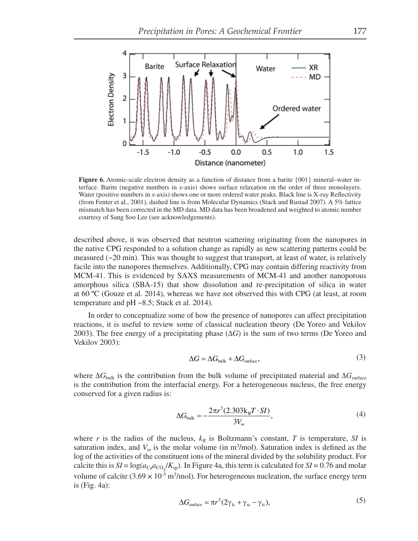

**Figure 6.** Atomic-scale electron density as a function of distance from a barite  $\{001\}$  mineral–water interface. Barite (negative numbers in *x*-axis) shows surface relaxation on the order of three monolayers. Water (positive numbers in *x*-axis) shows one or more ordered water peaks. Black line is X-ray Reflectivity (from Fenter et al., 2001), dashed line is from Molecular Dynamics (Stack and Rustad 2007). A 5% lattice mismatch has been corrected in the MD data. MD data has been broadened and weighted to atomic number courtesy of Sang Soo Lee (see acknowledgements).

described above, it was observed that neutron scattering originating from the nanopores in the native CPG responded to a solution change as rapidly as new scattering patterns could be measured  $(\sim 20 \text{ min})$ . This was thought to suggest that transport, at least of water, is relatively facile into the nanopores themselves. Additionally, CPG may contain differing reactivity from MCM-41. This is evidenced by SAXS measurements of MCM-41 and another nanoporous amorphous silica (SBA-15) that show dissolution and re-precipitation of silica in water at 60 ºC (Gouze et al. 2014), whereas we have not observed this with CPG (at least, at room temperature and pH ~8.5; Stack et al. 2014).

In order to conceptualize some of how the presence of nanopores can affect precipitation reactions, it is useful to review some of classical nucleation theory (De Yoreo and Vekilov 2003). The free energy of a precipitating phase  $(\Delta G)$  is the sum of two terms (De Yoreo and Vekilov 2003):

$$
\Delta G = \Delta G_{\text{bulk}} + \Delta G_{\text{surface}},\tag{3}
$$

where  $\Delta G_{\text{bulk}}$  is the contribution from the bulk volume of precipitated material and  $\Delta G_{\text{surface}}$ is the contribution from the interfacial energy. For a heterogeneous nucleus, the free energy conserved for a given radius is:

$$
\Delta G_{\text{bulk}} = -\frac{2\pi r^3 (2.303 \text{kg} \cdot T \cdot SI)}{3V_m},\tag{4}
$$

where  $r$  is the radius of the nucleus,  $k_B$  is Boltzmann's constant,  $T$  is temperature,  $SI$  is saturation index, and  $V_m$  is the molar volume (in m<sup>3</sup>/mol). Saturation index is defined as the log of the activities of the constituent ions of the mineral divided by the solubility product. For calcite this is  $SI = \log(a_{\text{Ca}}a_{\text{CO}_3}/K_{\text{sp}})$ . In Figure 4a, this term is calculated for  $SI = 0.76$  and molar volume of calcite  $(3.69 \times 10^{-5} \text{ m}^3/\text{mol})$ . For heterogeneous nucleation, the surface energy term is (Fig. 4a):

$$
\Delta G_{\text{surface}} = \pi r^2 (2\gamma_{\text{lc}} + \gamma_{\text{sc}} - \gamma_{\text{ls}}),\tag{5}
$$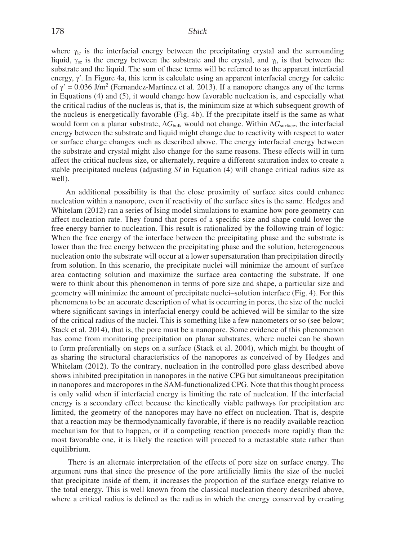where  $\gamma_{lc}$  is the interfacial energy between the precipitating crystal and the surrounding liquid,  $\gamma_{sc}$  is the energy between the substrate and the crystal, and  $\gamma_{ls}$  is that between the substrate and the liquid. The sum of these terms will be referred to as the apparent interfacial energy,  $\gamma'$ . In Figure 4a, this term is calculate using an apparent interfacial energy for calcite of  $\gamma' = 0.036$  J/m<sup>2</sup> (Fernandez-Martinez et al. 2013). If a nanopore changes any of the terms in Equations (4) and (5), it would change how favorable nucleation is, and especially what the critical radius of the nucleus is, that is, the minimum size at which subsequent growth of the nucleus is energetically favorable (Fig. 4b). If the precipitate itself is the same as what would form on a planar substrate,  $\Delta G_{bulk}$  would not change. Within  $\Delta G_{surface}$ , the interfacial energy between the substrate and liquid might change due to reactivity with respect to water or surface charge changes such as described above. The energy interfacial energy between the substrate and crystal might also change for the same reasons. These effects will in turn affect the critical nucleus size, or alternately, require a different saturation index to create a stable precipitated nucleus (adjusting *SI* in Equation (4) will change critical radius size as well).

An additional possibility is that the close proximity of surface sites could enhance nucleation within a nanopore, even if reactivity of the surface sites is the same. Hedges and Whitelam (2012) ran a series of Ising model simulations to examine how pore geometry can affect nucleation rate. They found that pores of a specific size and shape could lower the free energy barrier to nucleation. This result is rationalized by the following train of logic: When the free energy of the interface between the precipitating phase and the substrate is lower than the free energy between the precipitating phase and the solution, heterogeneous nucleation onto the substrate will occur at a lower supersaturation than precipitation directly from solution. In this scenario, the precipitate nuclei will minimize the amount of surface area contacting solution and maximize the surface area contacting the substrate. If one were to think about this phenomenon in terms of pore size and shape, a particular size and geometry will minimize the amount of precipitate nuclei–solution interface (Fig. 4). For this phenomena to be an accurate description of what is occurring in pores, the size of the nuclei where significant savings in interfacial energy could be achieved will be similar to the size of the critical radius of the nuclei. This is something like a few nanometers or so (see below; Stack et al. 2014), that is, the pore must be a nanopore. Some evidence of this phenomenon has come from monitoring precipitation on planar substrates, where nuclei can be shown to form preferentially on steps on a surface (Stack et al. 2004), which might be thought of as sharing the structural characteristics of the nanopores as conceived of by Hedges and Whitelam (2012). To the contrary, nucleation in the controlled pore glass described above shows inhibited precipitation in nanopores in the native CPG but simultaneous precipitation in nanopores and macropores in the SAM-functionalized CPG. Note that this thought process is only valid when if interfacial energy is limiting the rate of nucleation. If the interfacial energy is a secondary effect because the kinetically viable pathways for precipitation are limited, the geometry of the nanopores may have no effect on nucleation. That is, despite that a reaction may be thermodynamically favorable, if there is no readily available reaction mechanism for that to happen, or if a competing reaction proceeds more rapidly than the most favorable one, it is likely the reaction will proceed to a metastable state rather than equilibrium.

 There is an alternate interpretation of the effects of pore size on surface energy. The argument runs that since the presence of the pore artificially limits the size of the nuclei that precipitate inside of them, it increases the proportion of the surface energy relative to the total energy. This is well known from the classical nucleation theory described above, where a critical radius is defined as the radius in which the energy conserved by creating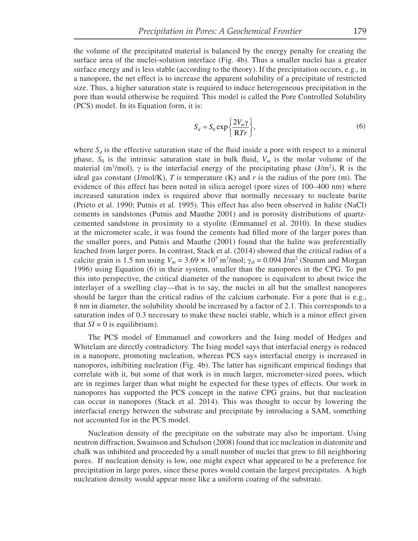the volume of the precipitated material is balanced by the energy penalty for creating the surface area of the nuclei-solution interface (Fig. 4b). Thus a smaller nuclei has a greater surface energy and is less stable (according to the theory). If the precipitation occurs, e.g., in a nanopore, the net effect is to increase the apparent solubility of a precipitate of restricted size. Thus, a higher saturation state is required to induce heterogeneous precipitation in the pore than would otherwise be required. This model is called the Pore Controlled Solubility (PCS) model. In its Equation form, it is:

$$
S_d = S_0 \exp\left\{\frac{2V_m \gamma}{RTr}\right\},\tag{6}
$$

where  $S_d$  is the effective saturation state of the fluid inside a pore with respect to a mineral phase,  $S_0$  is the intrinsic saturation state in bulk fluid,  $V_m$  is the molar volume of the material (m<sup>3</sup>/mol),  $\gamma$  is the interfacial energy of the precipitating phase (J/m<sup>2</sup>), R is the ideal gas constant (J/mol/K), *T* is temperature (K) and *r* is the radius of the pore (m). The evidence of this effect has been noted in silica aerogel (pore sizes of 100–400 nm) where increased saturation index is required above that normally necessary to nucleate barite (Prieto et al. 1990; Putnis et al. 1995). This effect has also been observed in halite (NaCl) cements in sandstones (Putnis and Mauthe 2001) and in porosity distributions of quartzcemented sandstone in proximity to a styolite (Emmanuel et al. 2010). In these studies at the micrometer scale, it was found the cements had filled more of the larger pores than the smaller pores, and Putnis and Mauthe (2001) found that the halite was preferentially leached from larger pores. In contrast, Stack et al. (2014) showed that the critical radius of a calcite grain is 1.5 nm using  $V_m = 3.69 \times 10^5 \text{ m}^3/\text{mol}$ ;  $\gamma_{sl} = 0.094 \text{ J/m}^2$  (Stumm and Morgan 1996) using Equation (6) in their system, smaller than the nanopores in the CPG. To put this into perspective, the critical diameter of the nanopore is equivalent to about twice the interlayer of a swelling clay—that is to say, the nuclei in all but the smallest nanopores should be larger than the critical radius of the calcium carbonate. For a pore that is e.g., 8 nm in diameter, the solubility should be increased by a factor of 2.1. This corresponds to a saturation index of 0.3 necessary to make these nuclei stable, which is a minor effect given that  $SI = 0$  is equilibrium).

The PCS model of Emmanuel and coworkers and the Ising model of Hedges and Whitelam are directly contradictory. The Ising model says that interfacial energy is reduced in a nanopore, promoting nucleation, whereas PCS says interfacial energy is increased in nanopores, inhibiting nucleation (Fig. 4b). The latter has significant empirical findings that correlate with it, but some of that work is in much larger, micrometer-sized pores, which are in regimes larger than what might be expected for these types of effects. Our work in nanopores has supported the PCS concept in the native CPG grains, but that nucleation can occur in nanopores (Stack et al. 2014). This was thought to occur by lowering the interfacial energy between the substrate and precipitate by introducing a SAM, something not accounted for in the PCS model.

Nucleation density of the precipitate on the substrate may also be important. Using neutron diffraction, Swainson and Schulson (2008) found that ice nucleation in diatomite and chalk was inhibited and proceeded by a small number of nuclei that grew to fill neighboring pores. If nucleation density is low, one might expect what appeared to be a preference for precipitation in large pores, since these pores would contain the largest precipitates. A high nucleation density would appear more like a uniform coating of the substrate.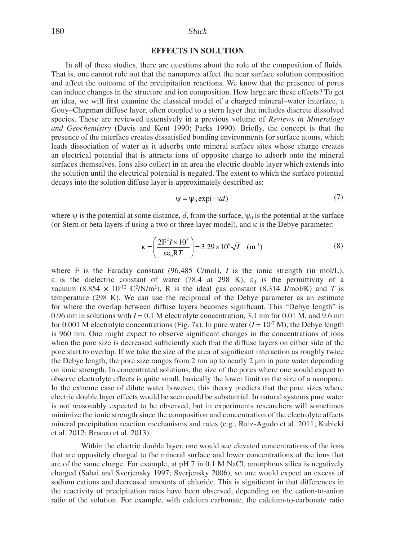## **EFFECTS IN SOLUTION**

In all of these studies, there are questions about the role of the composition of fluids. That is, one cannot rule out that the nanopores affect the near surface solution composition and affect the outcome of the precipitation reactions. We know that the presence of pores can induce changes in the structure and ion composition. How large are these effects? To get an idea, we will first examine the classical model of a charged mineral–water interface, a Gouy–Chapman diffuse layer, often coupled to a stern layer that includes discrete dissolved species. These are reviewed extensively in a previous volume of *Reviews in Mineralogy and Geochemistry* (Davis and Kent 1990; Parks 1990). Briefly, the concept is that the presence of the interface creates dissatisfied bonding environments for surface atoms, which leads dissociation of water as it adsorbs onto mineral surface sites whose charge creates an electrical potential that is attracts ions of opposite charge to adsorb onto the mineral surfaces themselves. Ions also collect in an area the electric double layer which extends into the solution until the electrical potential is negated. The extent to which the surface potential decays into the solution diffuse layer is approximately described as:

$$
\psi = \psi_0 \exp(-\kappa d) \tag{7}
$$

where  $\psi$  is the potential at some distance, *d*, from the surface,  $\psi_0$  is the potential at the surface (or Stern or beta layers if using a two or three layer model), and  $\kappa$  is the Debye parameter:

$$
\kappa = \left(\frac{2F^2 I \times 10^3}{\epsilon \epsilon_0 RT}\right) = 3.29 \times 10^9 \sqrt{I} \quad (m^{-1})
$$
 (8)

where F is the Faraday constant  $(96,485 \text{ C/mol})$ , *I* is the ionic strength (in mol/L),  $\varepsilon$  is the dielectric constant of water (78.4 at 298 K),  $\varepsilon_0$  is the permittivity of a vacuum (8.854  $\times$  10<sup>-12</sup> C<sup>2</sup>/N/m<sup>2</sup>), R is the ideal gas constant (8.314 J/mol/K) and *T* is temperature (298 K). We can use the reciprocal of the Debye parameter as an estimate for where the overlap between diffuse layers becomes significant. This "Debye length" is 0.96 nm in solutions with  $I = 0.1$  M electrolyte concentration, 3.1 nm for 0.01 M, and 9.6 nm for 0.001 M electrolyte concentrations (Fig. 7a). In pure water  $(I = 10^{-7} M)$ , the Debye length is 960 nm. One might expect to observe significant changes in the concentrations of ions when the pore size is decreased sufficiently such that the diffuse layers on either side of the pore start to overlap. If we take the size of the area of significant interaction as roughly twice the Debye length, the pore size ranges from 2 nm up to nearly 2  $\mu$ m in pure water depending on ionic strength. In concentrated solutions, the size of the pores where one would expect to observe electrolyte effects is quite small, basically the lower limit on the size of a nanopore. In the extreme case of dilute water however, this theory predicts that the pore sizes where electric double layer effects would be seen could be substantial. In natural systems pure water is not reasonably expected to be observed, but in experiments researchers will sometimes minimize the ionic strength since the composition and concentration of the electrolyte affects mineral precipitation reaction mechanisms and rates (e.g., Ruiz-Agudo et al. 2011; Kubicki et al. 2012; Bracco et al. 2013).

 Within the electric double layer, one would see elevated concentrations of the ions that are oppositely charged to the mineral surface and lower concentrations of the ions that are of the same charge. For example, at pH 7 in 0.1 M NaCl, amorphous silica is negatively charged (Sahai and Sverjensky 1997; Sverjensky 2006), so one would expect an excess of sodium cations and decreased amounts of chloride. This is significant in that differences in the reactivity of precipitation rates have been observed, depending on the cation-to-anion ratio of the solution. For example, with calcium carbonate, the calcium-to-carbonate ratio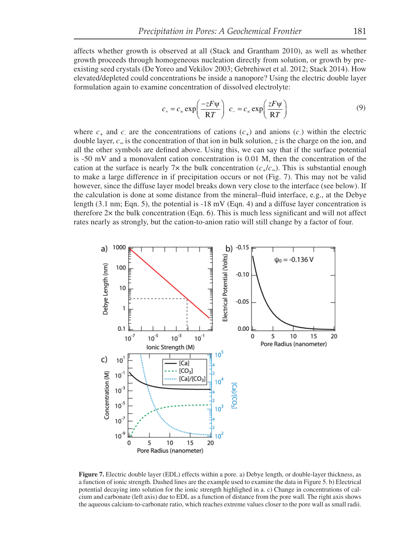affects whether growth is observed at all (Stack and Grantham 2010), as well as whether growth proceeds through homogeneous nucleation directly from solution, or growth by preexisting seed crystals (De Yoreo and Vekilov 2003; Gebrehiwet et al. 2012; Stack 2014). How elevated/depleted could concentrations be inside a nanopore? Using the electric double layer formulation again to examine concentration of dissolved electrolyte:

$$
c_{+} = c_{\infty} \exp\left(\frac{-zF\psi}{RT}\right) \ c_{-} = c_{\infty} \exp\left(\frac{zF\psi}{RT}\right) \tag{9}
$$

where  $c_+$  and  $c_-$  are the concentrations of cations  $(c_+)$  and anions  $(c_-)$  within the electric double layer, *c∞* is the concentration of that ion in bulk solution, *z* is the charge on the ion, and all the other symbols are defined above. Using this, we can say that if the surface potential is -50 mV and a monovalent cation concentration is 0.01 M, then the concentration of the cation at the surface is nearly 7 $\times$  the bulk concentration ( $c_{+}/c_{\infty}$ ). This is substantial enough to make a large difference in if precipitation occurs or not (Fig. 7). This may not be valid however, since the diffuse layer model breaks down very close to the interface (see below). If the calculation is done at some distance from the mineral–fluid interface, e.g., at the Debye length (3.1 nm; Eqn. 5), the potential is -18 mV (Eqn. 4) and a diffuse layer concentration is therefore  $2x$  the bulk concentration (Eqn. 6). This is much less significant and will not affect rates nearly as strongly, but the cation-to-anion ratio will still change by a factor of four.



**Figure 7.** Electric double layer (EDL) effects within a pore. a) Debye length, or double-layer thickness, as a function of ionic strength. Dashed lines are the example used to examine the data in Figure 5. b) Electrical potential decaying into solution for the ionic strength highlighed in a. c) Change in concentrations of calcium and carbonate (left axis) due to EDL as a function of distance from the pore wall. The right axis shows the aqueous calcium-to-carbonate ratio, which reaches extreme values closer to the pore wall as small radii.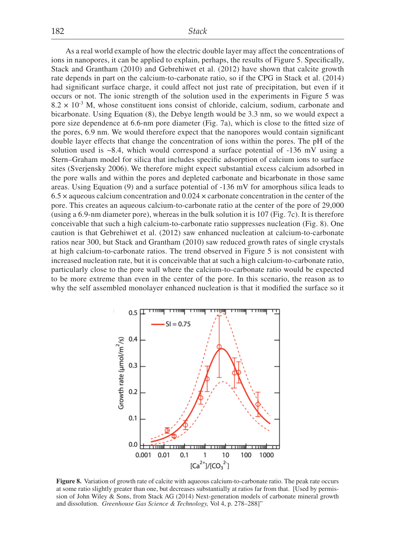As a real world example of how the electric double layer may affect the concentrations of ions in nanopores, it can be applied to explain, perhaps, the results of Figure 5. Specifically, Stack and Grantham (2010) and Gebrehiwet et al. (2012) have shown that calcite growth rate depends in part on the calcium-to-carbonate ratio, so if the CPG in Stack et al. (2014) had significant surface charge, it could affect not just rate of precipitation, but even if it occurs or not. The ionic strength of the solution used in the experiments in Figure 5 was  $8.2 \times 10^{-3}$  M, whose constituent ions consist of chloride, calcium, sodium, carbonate and bicarbonate. Using Equation (8), the Debye length would be 3.3 nm, so we would expect a pore size dependence at 6.6-nm pore diameter (Fig. 7a), which is close to the fitted size of the pores, 6.9 nm. We would therefore expect that the nanopores would contain significant double layer effects that change the concentration of ions within the pores. The pH of the solution used is ~8.4, which would correspond a surface potential of -136 mV using a Stern–Graham model for silica that includes specific adsorption of calcium ions to surface sites (Sverjensky 2006). We therefore might expect substantial excess calcium adsorbed in the pore walls and within the pores and depleted carbonate and bicarbonate in those same areas. Using Equation (9) and a surface potential of -136 mV for amorphous silica leads to  $6.5 \times$  aqueous calcium concentration and  $0.024 \times$  carbonate concentration in the center of the pore. This creates an aqueous calcium-to-carbonate ratio at the center of the pore of 29,000 (using a 6.9-nm diameter pore), whereas in the bulk solution it is 107 (Fig. 7c). It is therefore conceivable that such a high calcium-to-carbonate ratio suppresses nucleation (Fig. 8). One caution is that Gebrehiwet et al. (2012) saw enhanced nucleation at calcium-to-carbonate ratios near 300, but Stack and Grantham (2010) saw reduced growth rates of single crystals at high calcium-to-carbonate ratios. The trend observed in Figure 5 is not consistent with increased nucleation rate, but it is conceivable that at such a high calcium-to-carbonate ratio, particularly close to the pore wall where the calcium-to-carbonate ratio would be expected to be more extreme than even in the center of the pore. In this scenario, the reason as to why the self assembled monolayer enhanced nucleation is that it modified the surface so it



**Figure 8.** Variation of growth rate of calcite with aqueous calcium-to-carbonate ratio. The peak rate occurs at some ratio slightly greater than one, but decreases substantially at ratios far from that. [Used by permission of John Wiley & Sons, from Stack AG (2014) Next-generation models of carbonate mineral growth and dissolution. *Greenhouse Gas Science & Technology,* Vol 4, p. 278–288]"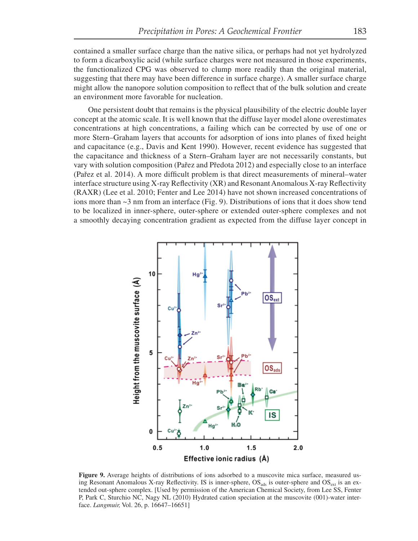contained a smaller surface charge than the native silica, or perhaps had not yet hydrolyzed to form a dicarboxylic acid (while surface charges were not measured in those experiments, the functionalized CPG was observed to clump more readily than the original material, suggesting that there may have been difference in surface charge). A smaller surface charge might allow the nanopore solution composition to reflect that of the bulk solution and create an environment more favorable for nucleation.

One persistent doubt that remains is the physical plausibility of the electric double layer concept at the atomic scale. It is well known that the diffuse layer model alone overestimates concentrations at high concentrations, a failing which can be corrected by use of one or more Stern–Graham layers that accounts for adsorption of ions into planes of fixed height and capacitance (e.g., Davis and Kent 1990). However, recent evidence has suggested that the capacitance and thickness of a Stern–Graham layer are not necessarily constants, but vary with solution composition (Pařez and Předota 2012) and especially close to an interface (Pařez et al. 2014). A more difficult problem is that direct measurements of mineral–water interface structure using X-ray Reflectivity  $(XR)$  and Resonant Anomalous X-ray Reflectivity (RAXR) (Lee et al. 2010; Fenter and Lee 2014) have not shown increased concentrations of ions more than  $\sim$ 3 nm from an interface (Fig. 9). Distributions of ions that it does show tend to be localized in inner-sphere, outer-sphere or extended outer-sphere complexes and not a smoothly decaying concentration gradient as expected from the diffuse layer concept in



**Figure 9.** Average heights of distributions of ions adsorbed to a muscovite mica surface, measured using Resonant Anomalous X-ray Reflectivity. IS is inner-sphere,  $OS_{ads}$  is outer-sphere and  $OS_{ext}$  is an extended out-sphere complex. [Used by permission of the American Chemical Society, from Lee SS, Fenter P, Park C, Sturchio NC, Nagy NL (2010) Hydrated cation speciation at the muscovite (001)-water interface. *Langmuir,* Vol. 26, p. 16647–16651]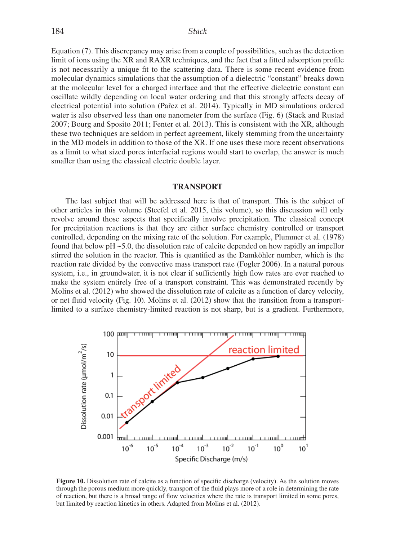Equation (7). This discrepancy may arise from a couple of possibilities, such as the detection limit of ions using the XR and RAXR techniques, and the fact that a fitted adsorption profile is not necessarily a unique fit to the scattering data. There is some recent evidence from molecular dynamics simulations that the assumption of a dielectric "constant" breaks down at the molecular level for a charged interface and that the effective dielectric constant can oscillate wildly depending on local water ordering and that this strongly affects decay of electrical potential into solution (Pařez et al. 2014). Typically in MD simulations ordered water is also observed less than one nanometer from the surface (Fig. 6) (Stack and Rustad 2007; Bourg and Sposito 2011; Fenter et al. 2013). This is consistent with the XR, although these two techniques are seldom in perfect agreement, likely stemming from the uncertainty in the MD models in addition to those of the XR. If one uses these more recent observations as a limit to what sized pores interfacial regions would start to overlap, the answer is much smaller than using the classical electric double layer.

#### **TRANSPORT**

The last subject that will be addressed here is that of transport. This is the subject of other articles in this volume (Steefel et al. 2015, this volume), so this discussion will only revolve around those aspects that specifically involve precipitation. The classical concept for precipitation reactions is that they are either surface chemistry controlled or transport controlled, depending on the mixing rate of the solution. For example, Plummer et al. (1978) found that below  $pH \sim 5.0$ , the dissolution rate of calcite depended on how rapidly an impellor stirred the solution in the reactor. This is quantified as the Damköhler number, which is the reaction rate divided by the convective mass transport rate (Fogler 2006). In a natural porous system, i.e., in groundwater, it is not clear if sufficiently high flow rates are ever reached to make the system entirely free of a transport constraint. This was demonstrated recently by Molins et al. (2012) who showed the dissolution rate of calcite as a function of darcy velocity, or net fluid velocity (Fig. 10). Molins et al. (2012) show that the transition from a transportlimited to a surface chemistry-limited reaction is not sharp, but is a gradient. Furthermore,



**Figure 10.** Dissolution rate of calcite as a function of specific discharge (velocity). As the solution moves through the porous medium more quickly, transport of the fluid plays more of a role in determining the rate of reaction, but there is a broad range of flow velocities where the rate is transport limited in some pores, but limited by reaction kinetics in others. Adapted from Molins et al. (2012).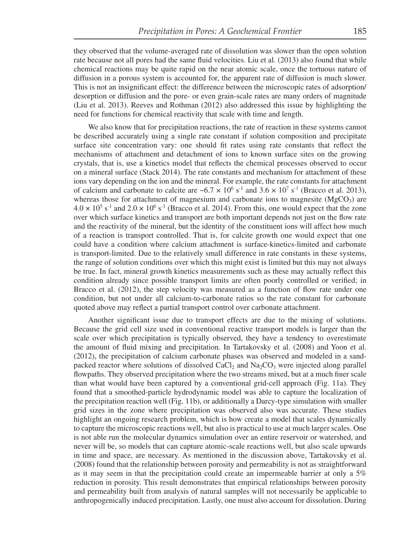they observed that the volume-averaged rate of dissolution was slower than the open solution rate because not all pores had the same fluid velocities. Liu et al. (2013) also found that while chemical reactions may be quite rapid on the near atomic scale, once the tortuous nature of diffusion in a porous system is accounted for, the apparent rate of diffusion is much slower. This is not an insignificant effect: the difference between the microscopic rates of adsorption/ desorption or diffusion and the pore- or even grain-scale rates are many orders of magnitude (Liu et al. 2013). Reeves and Rothman (2012) also addressed this issue by highlighting the need for functions for chemical reactivity that scale with time and length.

We also know that for precipitation reactions, the rate of reaction in these systems cannot be described accurately using a single rate constant if solution composition and precipitate surface site concentration vary: one should fit rates using rate constants that reflect the mechanisms of attachment and detachment of ions to known surface sites on the growing crystals, that is, use a kinetics model that reflects the chemical processes observed to occur on a mineral surface (Stack 2014). The rate constants and mechanism for attachment of these ions vary depending on the ion and the mineral. For example, the rate constants for attachment of calcium and carbonate to calcite are  $\sim 6.7 \times 10^6$  s<sup>-1</sup> and 3.6  $\times 10^7$  s<sup>-1</sup> (Bracco et al. 2013), whereas those for attachment of magnesium and carbonate ions to magnesite  $(MgCO<sub>3</sub>)$  are  $4.0 \times 10^5$  s<sup>-1</sup> and  $2.0 \times 10^6$  s<sup>-1</sup> (Bracco et al. 2014). From this, one would expect that the zone over which surface kinetics and transport are both important depends not just on the flow rate and the reactivity of the mineral, but the identity of the constituent ions will affect how much of a reaction is transport controlled. That is, for calcite growth one would expect that one could have a condition where calcium attachment is surface-kinetics-limited and carbonate is transport-limited. Due to the relatively small difference in rate constants in these systems, the range of solution conditions over which this might exist is limited but this may not always be true. In fact, mineral growth kinetics measurements such as these may actually reflect this condition already since possible transport limits are often poorly controlled or verified; in Bracco et al.  $(2012)$ , the step velocity was measured as a function of flow rate under one condition, but not under all calcium-to-carbonate ratios so the rate constant for carbonate quoted above may reflect a partial transport control over carbonate attachment.

Another significant issue due to transport effects are due to the mixing of solutions. Because the grid cell size used in conventional reactive transport models is larger than the scale over which precipitation is typically observed, they have a tendency to overestimate the amount of fluid mixing and precipitation. In Tartakovsky et al. (2008) and Yoon et al. (2012), the precipitation of calcium carbonate phases was observed and modeled in a sandpacked reactor where solutions of dissolved  $CaCl<sub>2</sub>$  and  $Na<sub>2</sub>CO<sub>3</sub>$  were injected along parallel flowpaths. They observed precipitation where the two streams mixed, but at a much finer scale than what would have been captured by a conventional grid-cell approach (Fig. 11a). They found that a smoothed-particle hydrodynamic model was able to capture the localization of the precipitation reaction well (Fig. 11b), or additionally a Darcy-type simulation with smaller grid sizes in the zone where precipitation was observed also was accurate. These studies highlight an ongoing research problem, which is how create a model that scales dynamically to capture the microscopic reactions well, but also is practical to use at much larger scales. One is not able run the molecular dynamics simulation over an entire reservoir or watershed, and never will be, so models that can capture atomic-scale reactions well, but also scale upwards in time and space, are necessary. As mentioned in the discussion above, Tartakovsky et al. (2008) found that the relationship between porosity and permeability is not as straightforward as it may seem in that the precipitation could create an impermeable barrier at only a 5% reduction in porosity. This result demonstrates that empirical relationships between porosity and permeability built from analysis of natural samples will not necessarily be applicable to anthropogenically induced precipitation. Lastly, one must also account for dissolution. During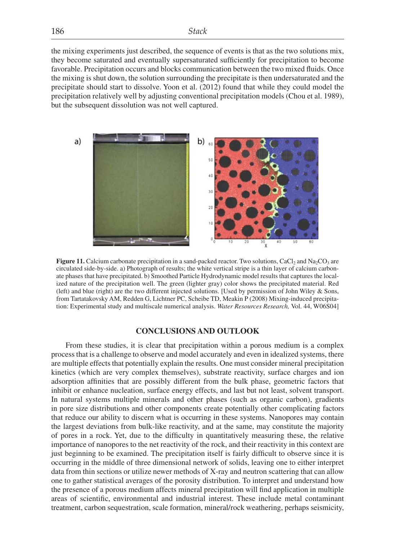the mixing experiments just described, the sequence of events is that as the two solutions mix, they become saturated and eventually supersaturated sufficiently for precipitation to become favorable. Precipitation occurs and blocks communication between the two mixed fluids. Once the mixing is shut down, the solution surrounding the precipitate is then undersaturated and the precipitate should start to dissolve. Yoon et al. (2012) found that while they could model the precipitation relatively well by adjusting conventional precipitation models (Chou et al. 1989), but the subsequent dissolution was not well captured.



**Figure 11.** Calcium carbonate precipitation in a sand-packed reactor. Two solutions, CaCl<sub>2</sub> and Na<sub>2</sub>CO<sub>3</sub> are circulated side-by-side. a) Photograph of results; the white vertical stripe is a thin layer of calcium carbonate phases that have precipitated. b) Smoothed Particle Hydrodynamic model results that captures the localized nature of the precipitation well. The green (lighter gray) color shows the precipitated material. Red (left) and blue (right) are the two different injected solutions. [Used by permission of John Wiley & Sons, from Tartatakovsky AM, Redden G, Lichtner PC, Scheibe TD, Meakin P (2008) Mixing-induced precipitation: Experimental study and multiscale numerical analysis. *Water Resources Research,* Vol. 44, W06S04]

## **CONCLUSIONS AND OUTLOOK**

From these studies, it is clear that precipitation within a porous medium is a complex process that is a challenge to observe and model accurately and even in idealized systems, there are multiple effects that potentially explain the results. One must consider mineral precipitation kinetics (which are very complex themselves), substrate reactivity, surface charges and ion adsorption affinities that are possibly different from the bulk phase, geometric factors that inhibit or enhance nucleation, surface energy effects, and last but not least, solvent transport. In natural systems multiple minerals and other phases (such as organic carbon), gradients in pore size distributions and other components create potentially other complicating factors that reduce our ability to discern what is occurring in these systems. Nanopores may contain the largest deviations from bulk-like reactivity, and at the same, may constitute the majority of pores in a rock. Yet, due to the difficulty in quantitatively measuring these, the relative importance of nanopores to the net reactivity of the rock, and their reactivity in this context are just beginning to be examined. The precipitation itself is fairly difficult to observe since it is occurring in the middle of three dimensional network of solids, leaving one to either interpret data from thin sections or utilize newer methods of X-ray and neutron scattering that can allow one to gather statistical averages of the porosity distribution. To interpret and understand how the presence of a porous medium affects mineral precipitation will find application in multiple areas of scientific, environmental and industrial interest. These include metal contaminant treatment, carbon sequestration, scale formation, mineral/rock weathering, perhaps seismicity,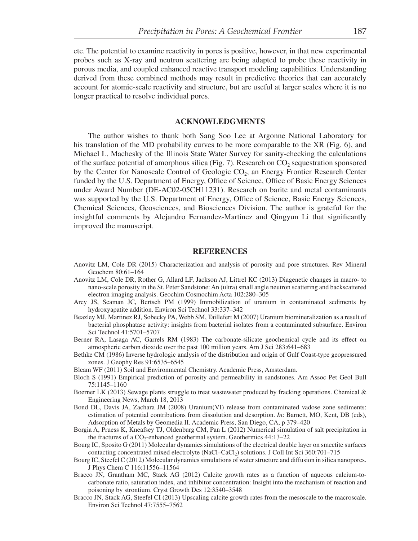etc. The potential to examine reactivity in pores is positive, however, in that new experimental probes such as X-ray and neutron scattering are being adapted to probe these reactivity in porous media, and coupled enhanced reactive transport modeling capabilities. Understanding derived from these combined methods may result in predictive theories that can accurately account for atomic-scale reactivity and structure, but are useful at larger scales where it is no longer practical to resolve individual pores.

#### **ACKNOWLEDGMENTS**

The author wishes to thank both Sang Soo Lee at Argonne National Laboratory for his translation of the MD probability curves to be more comparable to the XR (Fig. 6), and Michael L. Machesky of the Illinois State Water Survey for sanity-checking the calculations of the surface potential of amorphous silica (Fig. 7). Research on  $CO<sub>2</sub>$  sequestration sponsored by the Center for Nanoscale Control of Geologic  $CO<sub>2</sub>$ , an Energy Frontier Research Center funded by the U.S. Department of Energy, Office of Science, Office of Basic Energy Sciences under Award Number (DE-AC02-05CH11231). Research on barite and metal contaminants was supported by the U.S. Department of Energy, Office of Science, Basic Energy Sciences, Chemical Sciences, Geosciences, and Biosciences Division. The author is grateful for the insightful comments by Alejandro Fernandez-Martinez and Qingyun Li that significantly improved the manuscript.

#### **REFERENCES**

- Anovitz LM, Cole DR (2015) Characterization and analysis of porosity and pore structures. Rev Mineral Geochem 80:61–164
- Anovitz LM, Cole DR, Rother G, Allard LF, Jackson AJ, Littrel KC (2013) Diagenetic changes in macro- to nano-scale porosity in the St. Peter Sandstone: An (ultra) small angle neutron scattering and backscattered electron imaging analysis. Geochim Cosmochim Acta 102:280–305
- Arey JS, Seaman JC, Bertsch PM (1999) Immobilization of uranium in contaminated sediments by hydroxyapatite addition. Environ Sci Technol 33:337–342
- Beazley MJ, Martinez RJ, Sobecky PA, Webb SM, Taillefert M (2007) Uranium biomineralization as a result of bacterial phosphatase activity: insights from bacterial isolates from a contaminated subsurface. Environ Sci Technol 41:5701–5707
- Berner RA, Lasaga AC, Garrels RM (1983) The carbonate-silicate geochemical cycle and its effect on atmospheric carbon dioxide over the past 100 million years. Am J Sci 283:641–683
- Bethke CM (1986) Inverse hydrologic analysis of the distribution and origin of Gulf Coast-type geopressured zones. J Geophy Res 91:6535–6545
- Bleam WF (2011) Soil and Environmental Chemistry. Academic Press, Amsterdam.
- Bloch S (1991) Empirical prediction of porosity and permeability in sandstones. Am Assoc Pet Geol Bull 75:1145–1160
- Boerner LK (2013) Sewage plants struggle to treat wastewater produced by fracking operations. Chemical & Engineering News, March 18, 2013
- Bond DL, Davis JA, Zachara JM (2008) Uranium(VI) release from contaminated vadose zone sediments: estimation of potential contributions from dissolution and desorption. *In*: Barnett, MO, Kent, DB (eds), Adsorption of Metals by Geomedia II. Academic Press, San Diego, CA, p 379–420
- Borgia A, Pruess K, Kneafsey TJ, Oldenburg CM, Pan L (2012) Numerical simulation of salt precipitation in the fractures of a  $CO_2$ -enhanced geothermal system. Geothermics  $44:13-22$
- Bourg IC, Sposito G (2011) Molecular dynamics simulations of the electrical double layer on smectite surfaces contacting concentrated mixed electrolyte (NaCl–CaCl<sub>2</sub>) solutions. J Coll Int Sci 360:701–715
- Bourg IC, Steefel C (2012) Molecular dynamics simulations of water structure and diffusion in silica nanopores. J Phys Chem C 116:11556–11564
- Bracco JN, Grantham MC, Stack AG (2012) Calcite growth rates as a function of aqueous calcium-tocarbonate ratio, saturation index, and inhibitor concentration: Insight into the mechanism of reaction and poisoning by strontium. Cryst Growth Des 12:3540–3548
- Bracco JN, Stack AG, Steefel CI (2013) Upscaling calcite growth rates from the mesoscale to the macroscale. Environ Sci Technol 47:7555–7562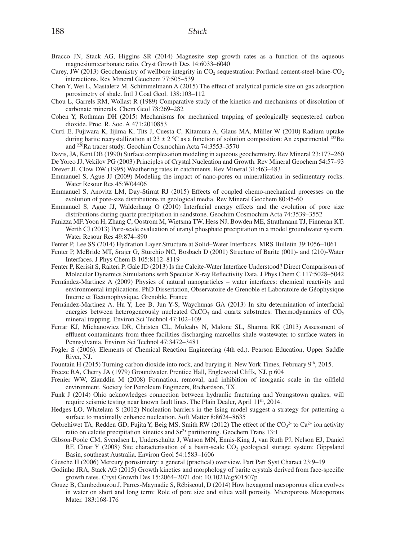- Bracco JN, Stack AG, Higgins SR (2014) Magnesite step growth rates as a function of the aqueous magnesium:carbonate ratio. Cryst Growth Des 14:6033–6040
- Carey, JW (2013) Geochemistry of wellbore integrity in  $CO_2$  sequestration: Portland cement-steel-brine- $CO_2$ interactions. Rev Mineral Geochem 77:505–539
- Chen Y, Wei L, Mastalerz M, Schimmelmann A (2015) The effect of analytical particle size on gas adsorption porosimetry of shale. Intl J Coal Geol. 138:103–112
- Chou L, Garrels RM, Wollast R (1989) Comparative study of the kinetics and mechanisms of dissolution of carbonate minerals. Chem Geol 78:269–282
- Cohen Y, Rothman DH (2015) Mechanisms for mechanical trapping of geologically sequestered carbon dioxide. Proc. R. Soc. A 471:2010853
- Curti E, Fujiwara K, Iijima K, Tits J, Cuesta C, Kitamura A, Glaus MA, Müller W (2010) Radium uptake during barite recrystallization at  $23 \pm 2$  °C as a function of solution composition: An experimental <sup>133</sup>Ba and 226Ra tracer study. Geochim Cosmochim Acta 74:3553–3570
- Davis, JA, Kent DB (1990) Surface complexation modeling in aqueous geochemistry. Rev Mineral 23:177–260
- De Yoreo JJ, Vekilov PG (2003) Principles of Crystal Nucleation and Growth. Rev Mineral Geochem 54:57–93 Drever JI, Clow DW (1995) Weathering rates in catchments. Rev Mineral 31:463–483
- Emmanuel S, Ague JJ (2009) Modeling the impact of nano-pores on mineralization in sedimentary rocks. Water Resour Res 45:W04406
- Emmanuel S, Anovitz LM, Day-Stirrat RJ (2015) Effects of coupled chemo-mechanical processes on the evolution of pore-size distributions in geological media. Rev Mineral Geochem 80:45-60
- Emmanuel S, Ague JJ, Walderhaug O (2010) Interfacial energy effects and the evolution of pore size distributions during quartz precipitation in sandstone. Geochim Cosmochim Acta 74:3539–3552
- Fanizza MF, Yoon H, Zhang C, Oostrom M, Wietsma TW, Hess NJ, Bowden ME, Strathmann TJ, Finneran KT, Werth CJ (2013) Pore-scale evaluation of uranyl phosphate precipitation in a model groundwater system. Water Resour Res 49:874–890
- Fenter P, Lee SS (2014) Hydration Layer Structure at Solid–Water Interfaces. MRS Bulletin 39:1056–1061
- Fenter P, McBride MT, Srajer G, Sturchio NC, Bosbach D (2001) Structure of Barite (001)- and (210)-Water Interfaces. J Phys Chem B 105:8112–8119
- Fenter P, Kerisit S, Raiteri P, Gale JD (2013) Is the Calcite-Water Interface Understood? Direct Comparisons of Molecular Dynamics Simulations with Specular X-ray Reflectivity Data. J Phys Chem C 117:5028-5042
- Fernández-Martinez A (2009) Physics of natural nanoparticles water interfaces: chemical reactivity and environmental implications. PhD Dissertation, Observatoire de Grenoble et Laboratoire de Géophysique Interne et Tectonophysique, Grenoble, France
- Fernández-Martinez A, Hu Y, Lee B, Jun Y-S, Waychunas GA (2013) In situ determination of interfacial energies between heterogeneously nucleated  $CaCO<sub>3</sub>$  and quartz substrates: Thermodynamics of  $CO<sub>2</sub>$ mineral trapping. Environ Sci Technol 47:102–109
- Ferrar KJ, Michanowicz DR, Christen CL, Mulcahy N, Malone SL, Sharma RK (2013) Assessment of effluent contaminants from three facilities discharging marcellus shale wastewater to surface waters in Pennsylvania. Environ Sci Technol 47:3472–3481
- Fogler S (2006). Elements of Chemical Reaction Engineering (4th ed.). Pearson Education, Upper Saddle River, NJ.
- Fountain H (2015) Turning carbon dioxide into rock, and burying it. New York Times, February 9<sup>th</sup>, 2015.
- Freeze RA, Cherry JA (1979) Groundwater. Prentice Hall, Englewood Cliffs, NJ. p 604
- Frenier WW, Ziauddin M (2008) Formation, removal, and inhibition of inorganic scale in the oilfield environment. Society for Petroleum Engineers, Richardson, TX.
- Funk J (2014) Ohio acknowledges connection between hydraulic fracturing and Youngstown quakes, will require seismic testing near known fault lines. The Plain Dealer, April 11<sup>th</sup>, 2014.
- Hedges LO, Whitelam S (2012) Nucleation barriers in the Ising model suggest a strategy for patterning a surface to maximally enhance nucleation. Soft Matter 8:8624–8635
- Gebrehiwet TA, Redden GD, Fujita Y, Beig MS, Smith RW (2012) The effect of the  $CO<sub>3</sub><sup>2-</sup>$  to  $Ca<sup>2+</sup>$  ion activity ratio on calcite precipitation kinetics and  $Sr^{2+}$  partitioning. Geochem Trans 13:1
- Gibson-Poole CM, Svendsen L, Underschultz J, Watson MN, Ennis-King J, van Ruth PJ, Nelson EJ, Daniel RF, Cinar Y (2008) Site characterisation of a basin-scale  $CO<sub>2</sub>$  geological storage system: Gippsland Basin, southeast Australia. Environ Geol 54:1583–1606
- Giesche H (2006) Mercury porosimetry: a general (practical) overview. Part Part Syst Charact 23:9–19
- Godinho JRA, Stack AG (2015) Growth kinetics and morphology of barite crystals derived from face-specific growth rates. Cryst Growth Des 15:2064–2071 doi: 10.1021/cg501507p
- Gouze B, Cambedouzou J, Parres-Maynadie S, Rébiscoul, D (2014) How hexagonal mesoporous silica evolves in water on short and long term: Role of pore size and silica wall porosity. Microporous Mesoporous Mater. 183:168-176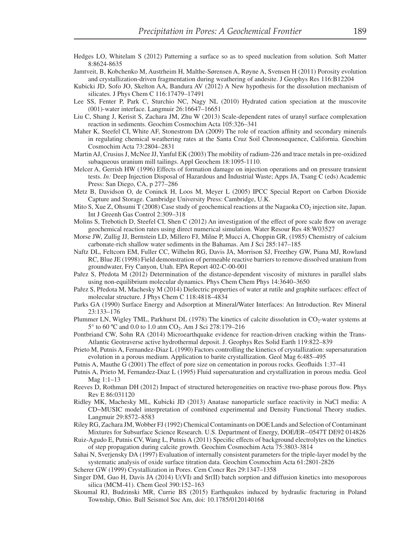- Hedges LO, Whitelam S (2012) Patterning a surface so as to speed nucleation from solution. Soft Matter 8:8624-8635
- Jamtveit, B, Kobchenko M, Austrheim H, Malthe-Sørensen A, Røyne A, Svensen H (2011) Porosity evolution and crystallization-driven fragmentation during weathering of andesite. J Geophys Res 116:B12204
- Kubicki JD, Sofo JO, Skelton AA, Bandura AV (2012) A New hypothesis for the dissolution mechanism of silicates. J Phys Chem C 116:17479–17491
- Lee SS, Fenter P, Park C, Sturchio NC, Nagy NL (2010) Hydrated cation speciation at the muscovite (001)-water interface. Langmuir 26:16647–16651
- Liu C, Shang J, Kerisit S, Zachara JM, Zhu W (2013) Scale-dependent rates of uranyl surface complexation reaction in sediments. Geochim Cosmochim Acta 105:326–341
- Maher K, Steefel CI, White AF, Stonestrom DA (2009) The role of reaction affinity and secondary minerals in regulating chemical weathering rates at the Santa Cruz Soil Chronosequence, California. Geochim Cosmochim Acta 73:2804–2831
- Martin AJ, Crusius J, McNee JJ, Yanful EK (2003) The mobility of radium-226 and trace metals in pre-oxidized subaqueous uranium mill tailings. Appl Geochem 18:1095-1110.
- Melcer A, Gerrish HW (1996) Effects of formation damage on injection operations and on pressure transient tests. *In:* Deep Injection Disposal of Hazardous and Industrial Waste; Apps JA, Tsang C (eds) Academic Press: San Diego, CA, p 277–286
- Metz B, Davidson O, de Coninck H, Loos M, Meyer L (2005) IPCC Special Report on Carbon Dioxide Capture and Storage. Cambridge University Press: Cambridge, U.K.
- Mito S, Xue Z, Ohsumi T (2008) Case study of geochemical reactions at the Nagaoka  $CO<sub>2</sub>$  injection site, Japan. Int J Greenh Gas Control 2:309–318
- Molins S, Trebotich D, Steefel CI, Shen C (2012) An investigation of the effect of pore scale flow on average geochemical reaction rates using direct numerical simulation. Water Resour Res 48:W03527
- Morse JW, Zullig JJ, Bernstein LD, Millero FJ, Milne P, Mucci A, Choppin GR, (1985) Chemistry of calcium carbonate-rich shallow water sediments in the Bahamas. Am J Sci 285:147–185
- Naftz DL, Feltcorn EM, Fuller CC, Wilhelm RG, Davis JA, Morrison SJ, Freethey GW, Piana MJ, Rowland RC, Blue JE (1998) Field demonstration of permeable reactive barriers to remove dissolved uranium from groundwater, Fry Canyon, Utah. EPA Report 402-C-00-001
- Pařez S, Předota M (2012) Determination of the distance-dependent viscosity of mixtures in parallel slabs using non-equilibrium molecular dynamics. Phys Chem Chem Phys 14:3640–3650
- Pařez S, Předota M, Machesky M (2014) Dielectric properties of water at rutile and graphite surfaces: effect of molecular structure. J Phys Chem C 118:4818–4834
- Parks GA (1990) Surface Energy and Adsorption at Mineral/Water Interfaces: An Introduction. Rev Mineral 23:133–176
- Plummer LN, Wigley TML, Parkhurst DL (1978) The kinetics of calcite dissolution in CO<sub>2</sub>-water systems at 5° to 60 °C and 0.0 to 1.0 atm CO<sub>2</sub>. Am J Sci 278:179–216
- Pontbriand CW, Sohn RA (2014) Microearthquake evidence for reaction-driven cracking within the Trans-Atlantic Geotraverse active hydrothermal deposit. J. Geophys Res Solid Earth 119:822–839
- Prieto M, Putnis A, Fernandez-Diaz L (1990) Factors controlling the kinetics of crystallization: supersaturation evolution in a porous medium. Application to barite crystallization. Geol Mag 6:485–495
- Putnis A, Mauthe G (2001) The effect of pore size on cementation in porous rocks. Geofluids 1:37–41
- Putnis A, Prieto M, Fernandez-Diaz L (1995) Fluid supersaturation and crystallization in porous media. Geol Mag 1:1–13
- Reeves D, Rothman DH (2012) Impact of structured heterogeneities on reactive two-phase porous flow. Phys Rev E 86:031120
- Ridley MK, Machesky ML, Kubicki JD (2013) Anatase nanoparticle surface reactivity in NaCl media: A CD−MUSIC model interpretation of combined experimental and Density Functional Theory studies. Langmuir 29:8572–8583
- Riley RG, Zachara JM, Wobber FJ (1992) Chemical Contaminants on DOE Lands and Selection of Contaminant Mixtures for Subsurface Science Research. U.S. Department of Energy, DOE/ER--0547T DE92 014826
- Ruiz-Agudo E, Putnis CV, Wang L, Putnis A (2011) Specific effects of background electrolytes on the kinetics of step propagation during calcite growth. Geochim Cosmochim Acta 75:3803-3814
- Sahai N, Sverjensky DA (1997) Evaluation of internally consistent parameters for the triple-layer model by the systematic analysis of oxide surface titration data. Geochim Cosmochim Acta 61:2801-2826
- Scherer GW (1999) Crystallization in Pores. Cem Concr Res 29:1347–1358
- Singer DM, Guo H, Davis JA (2014) U(VI) and Sr(II) batch sorption and diffusion kinetics into mesoporous silica (MCM-41). Chem Geol 390:152–163
- Skoumal RJ, Budzinski MR, Currie BS (2015) Earthquakes induced by hydraulic fracturing in Poland Township, Ohio. Bull Seismol Soc Am, doi: 10.1785/0120140168